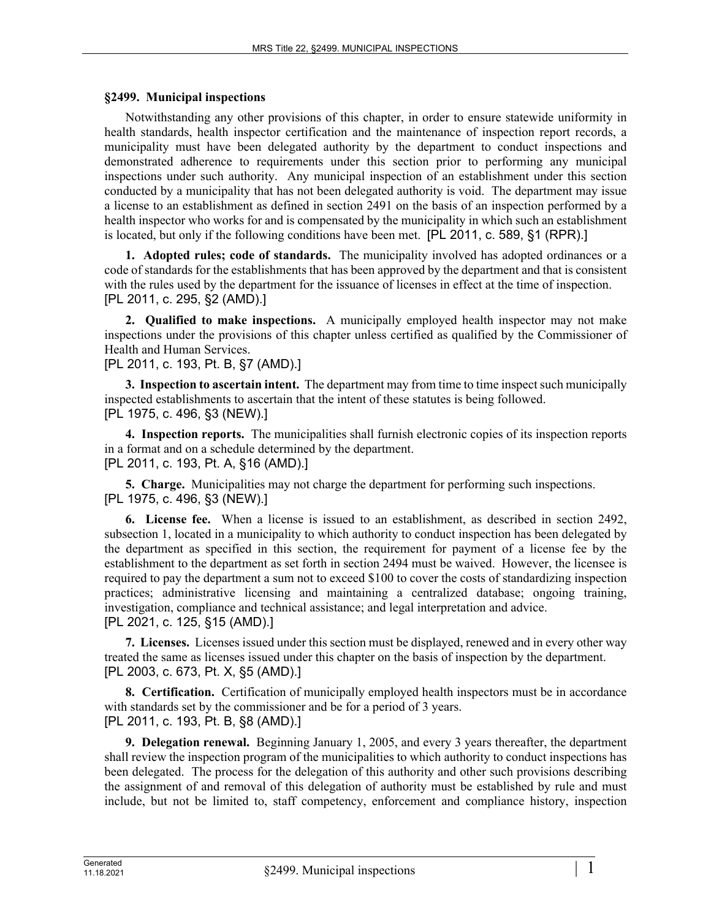## **§2499. Municipal inspections**

Notwithstanding any other provisions of this chapter, in order to ensure statewide uniformity in health standards, health inspector certification and the maintenance of inspection report records, a municipality must have been delegated authority by the department to conduct inspections and demonstrated adherence to requirements under this section prior to performing any municipal inspections under such authority. Any municipal inspection of an establishment under this section conducted by a municipality that has not been delegated authority is void. The department may issue a license to an establishment as defined in section 2491 on the basis of an inspection performed by a health inspector who works for and is compensated by the municipality in which such an establishment is located, but only if the following conditions have been met. [PL 2011, c. 589, §1 (RPR).]

**1. Adopted rules; code of standards.** The municipality involved has adopted ordinances or a code of standards for the establishments that has been approved by the department and that is consistent with the rules used by the department for the issuance of licenses in effect at the time of inspection. [PL 2011, c. 295, §2 (AMD).]

**2. Qualified to make inspections.** A municipally employed health inspector may not make inspections under the provisions of this chapter unless certified as qualified by the Commissioner of Health and Human Services.

## [PL 2011, c. 193, Pt. B, §7 (AMD).]

**3. Inspection to ascertain intent.** The department may from time to time inspect such municipally inspected establishments to ascertain that the intent of these statutes is being followed. [PL 1975, c. 496, §3 (NEW).]

**4. Inspection reports.** The municipalities shall furnish electronic copies of its inspection reports in a format and on a schedule determined by the department. [PL 2011, c. 193, Pt. A, §16 (AMD).]

**5. Charge.** Municipalities may not charge the department for performing such inspections. [PL 1975, c. 496, §3 (NEW).]

**6. License fee.** When a license is issued to an establishment, as described in section 2492, subsection 1, located in a municipality to which authority to conduct inspection has been delegated by the department as specified in this section, the requirement for payment of a license fee by the establishment to the department as set forth in section 2494 must be waived. However, the licensee is required to pay the department a sum not to exceed \$100 to cover the costs of standardizing inspection practices; administrative licensing and maintaining a centralized database; ongoing training, investigation, compliance and technical assistance; and legal interpretation and advice. [PL 2021, c. 125, §15 (AMD).]

**7. Licenses.** Licenses issued under this section must be displayed, renewed and in every other way treated the same as licenses issued under this chapter on the basis of inspection by the department. [PL 2003, c. 673, Pt. X, §5 (AMD).]

**8. Certification.** Certification of municipally employed health inspectors must be in accordance with standards set by the commissioner and be for a period of 3 years. [PL 2011, c. 193, Pt. B, §8 (AMD).]

**9. Delegation renewal.** Beginning January 1, 2005, and every 3 years thereafter, the department shall review the inspection program of the municipalities to which authority to conduct inspections has been delegated. The process for the delegation of this authority and other such provisions describing the assignment of and removal of this delegation of authority must be established by rule and must include, but not be limited to, staff competency, enforcement and compliance history, inspection